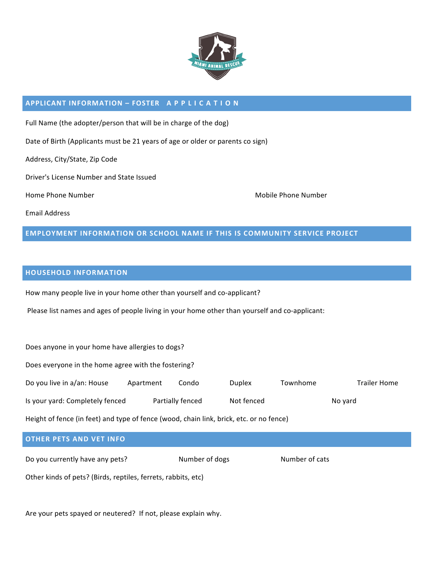

#### **APPLICANT INFORMATION – FOSTER A P P L I C A T I O N**

Full Name (the adopter/person that will be in charge of the dog)

Date of Birth (Applicants must be 21 years of age or older or parents co sign)

Address, City/State, Zip Code

Driver's License Number and State Issued

Home Phone Number Number and Communication of the Mobile Phone Number and Mobile Phone Number

Email Address

### **EMPLOYMENT INFORMATION OR SCHOOL NAME IF THIS IS COMMUNITY SERVICE PROJECT**

#### **HOUSEHOLD INFORMATION**

How many people live in your home other than yourself and co-applicant?

Please list names and ages of people living in your home other than yourself and co-applicant:

Does anyone in your home have allergies to dogs?

Does everyone in the home agree with the fostering?

| Do you live in a/an: House      | Apartment | Condo            | <b>Duplex</b> | Townhome | <b>Trailer Home</b> |
|---------------------------------|-----------|------------------|---------------|----------|---------------------|
| Is your yard: Completely fenced |           | Partially fenced | Not fenced    |          | No vard             |

Height of fence (in feet) and type of fence (wood, chain link, brick, etc. or no fence)

# **OTHER PETS AND VET INFO** Do you currently have any pets? Number of dogs Number of cats

Other kinds of pets? (Birds, reptiles, ferrets, rabbits, etc)

Are your pets spayed or neutered? If not, please explain why.